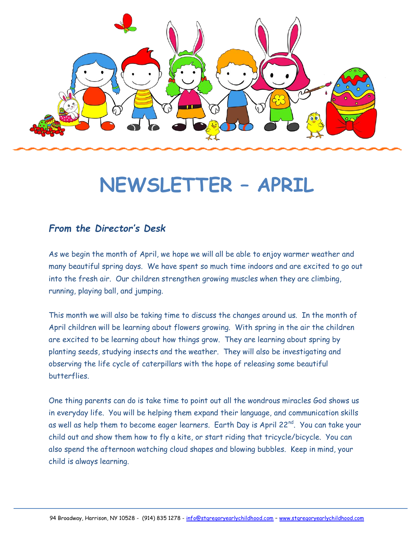

# **NEWSLETTER – APRIL**

#### *From the Director's Desk*

As we begin the month of April, we hope we will all be able to enjoy warmer weather and many beautiful spring days. We have spent so much time indoors and are excited to go out into the fresh air. Our children strengthen growing muscles when they are climbing, running, playing ball, and jumping.

This month we will also be taking time to discuss the changes around us. In the month of April children will be learning about flowers growing. With spring in the air the children are excited to be learning about how things grow. They are learning about spring by planting seeds, studying insects and the weather. They will also be investigating and observing the life cycle of caterpillars with the hope of releasing some beautiful butterflies.

One thing parents can do is take time to point out all the wondrous miracles God shows us in everyday life. You will be helping them expand their language, and communication skills as well as help them to become eager learners. Earth Day is April 22<sup>nd</sup>. You can take your child out and show them how to fly a kite, or start riding that tricycle/bicycle. You can also spend the afternoon watching cloud shapes and blowing bubbles. Keep in mind, your child is always learning.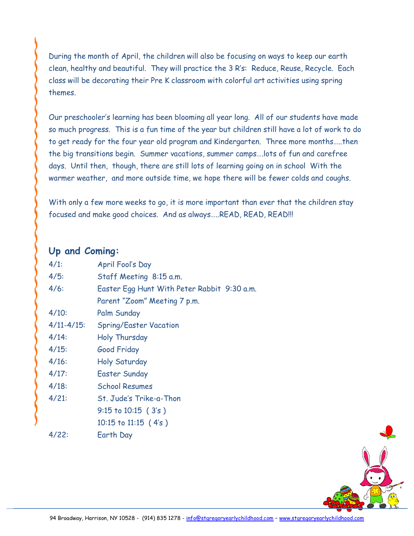During the month of April, the children will also be focusing on ways to keep our earth clean, healthy and beautiful. They will practice the 3 R's: Reduce, Reuse, Recycle. Each class will be decorating their Pre K classroom with colorful art activities using spring themes.

Our preschooler's learning has been blooming all year long. All of our students have made so much progress. This is a fun time of the year but children still have a lot of work to do to get ready for the four year old program and Kindergarten. Three more months…..then the big transitions begin. Summer vacations, summer camps….lots of fun and carefree days. Until then, though, there are still lots of learning going on in school With the warmer weather, and more outside time, we hope there will be fewer colds and coughs.

With only a few more weeks to go, it is more important than ever that the children stay focused and make good choices. And as always…..READ, READ, READ!!!

#### **Up and Coming:**

| $4/1$ :       | April Fool's Day                            |
|---------------|---------------------------------------------|
| 4/5:          | Staff Meeting 8:15 a.m.                     |
| 4/6:          | Easter Egg Hunt With Peter Rabbit 9:30 a.m. |
|               | Parent "Zoom" Meeting 7 p.m.                |
| 4/10:         | Palm Sunday                                 |
| $4/11 - 4/15$ | <b>Spring/Easter Vacation</b>               |
| 4/14:         | Holy Thursday                               |
| 4/15:         | Good Friday                                 |
| 4/16:         | <b>Holy Saturday</b>                        |
| 4/17:         | <b>Easter Sunday</b>                        |
| 4/18:         | <b>School Resumes</b>                       |
| 4/21:         | St. Jude's Trike-a-Thon                     |
|               | $9:15$ to $10:15$ (3's)                     |
|               | $10:15$ to $11:15$ (4's)                    |
| 4/22:         | Earth Day                                   |

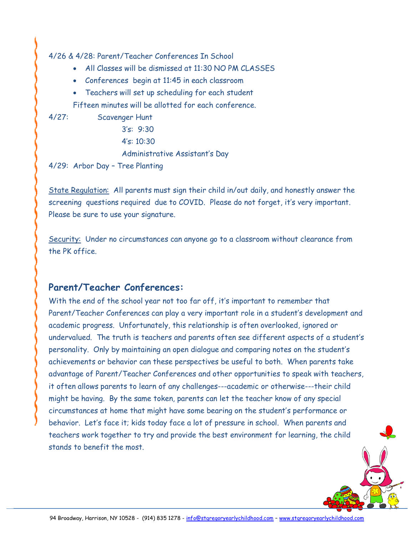4/26 & 4/28: Parent/Teacher Conferences In School

- All Classes will be dismissed at 11:30 NO PM CLASSES
- Conferences begin at 11:45 in each classroom
- Teachers will set up scheduling for each student

Fifteen minutes will be allotted for each conference.

4/27: Scavenger Hunt

3's: 9:30

4's: 10:30

Administrative Assistant's Day

4/29: Arbor Day – Tree Planting

State Regulation: All parents must sign their child in/out daily, and honestly answer the screening questions required due to COVID. Please do not forget, it's very important. Please be sure to use your signature.

Security: Under no circumstances can anyone go to a classroom without clearance from the PK office.

#### **Parent/Teacher Conferences:**

With the end of the school year not too far off, it's important to remember that Parent/Teacher Conferences can play a very important role in a student's development and academic progress. Unfortunately, this relationship is often overlooked, ignored or undervalued. The truth is teachers and parents often see different aspects of a student's personality. Only by maintaining an open dialogue and comparing notes on the student's achievements or behavior can these perspectives be useful to both. When parents take advantage of Parent/Teacher Conferences and other opportunities to speak with teachers, it often allows parents to learn of any challenges---academic or otherwise---their child might be having. By the same token, parents can let the teacher know of any special circumstances at home that might have some bearing on the student's performance or behavior. Let's face it; kids today face a lot of pressure in school. When parents and teachers work together to try and provide the best environment for learning, the child stands to benefit the most.

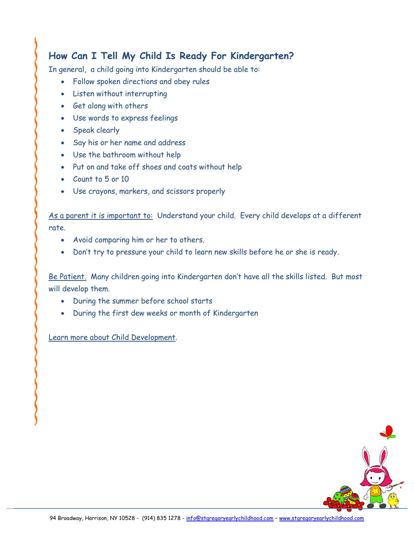# **How Can I Tell My Child Is Ready For Kindergarten?**

In general, a child going into Kindergarten should be able to:

- Follow spoken directions and obey rules
- Listen without interrupting
- Get along with others
- Use words to express feelings
- Speak clearly
- Say his or her name and address
- Use the bathroom without help
- Put on and take off shoes and coats without help
- Count to 5 or 10
- Use crayons, markers, and scissors properly

As a parent it is important to: Understand your child. Every child develops at a different rate.

- Avoid comparing him or her to others.
- Don't try to pressure your child to learn new skills before he or she is ready.

Be Patient. Many children going into Kindergarten don't have all the skills listed. But most will develop them.

- During the summer before school starts
- During the first dew weeks or month of Kindergarten

Learn more about Child Development.

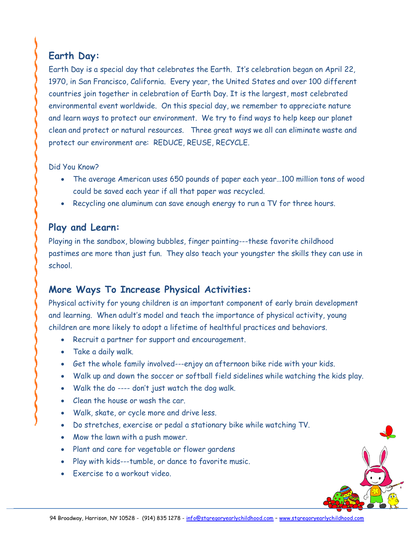# **Earth Day:**

Earth Day is a special day that celebrates the Earth. It's celebration began on April 22, 1970, in San Francisco, California. Every year, the United States and over 100 different countries join together in celebration of Earth Day. It is the largest, most celebrated environmental event worldwide. On this special day, we remember to appreciate nature and learn ways to protect our environment. We try to find ways to help keep our planet clean and protect or natural resources. Three great ways we all can eliminate waste and protect our environment are: REDUCE, REUSE, RECYCLE.

#### Did You Know?

- The average American uses 650 pounds of paper each year…100 million tons of wood could be saved each year if all that paper was recycled.
- Recycling one aluminum can save enough energy to run a TV for three hours.

### **Play and Learn:**

Playing in the sandbox, blowing bubbles, finger painting---these favorite childhood pastimes are more than just fun. They also teach your youngster the skills they can use in school.

# **More Ways To Increase Physical Activities:**

Physical activity for young children is an important component of early brain development and learning. When adult's model and teach the importance of physical activity, young children are more likely to adopt a lifetime of healthful practices and behaviors.

- Recruit a partner for support and encouragement.
- Take a daily walk.
- Get the whole family involved---enjoy an afternoon bike ride with your kids.
- Walk up and down the soccer or softball field sidelines while watching the kids play.
- Walk the do ---- don't just watch the dog walk.
- Clean the house or wash the car.
- Walk, skate, or cycle more and drive less.
- Do stretches, exercise or pedal a stationary bike while watching TV.
- Mow the lawn with a push mower.
- Plant and care for vegetable or flower gardens
- Play with kids---tumble, or dance to favorite music.
- Exercise to a workout video.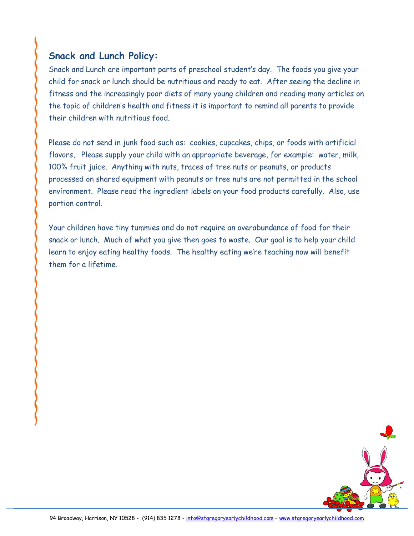## **Snack and Lunch Policy:**

Snack and Lunch are important parts of preschool student's day. The foods you give your child for snack or lunch should be nutritious and ready to eat. After seeing the decline in fitness and the increasingly poor diets of many young children and reading many articles on the topic of children's health and fitness it is important to remind all parents to provide their children with nutritious food.

Please do not send in junk food such as: cookies, cupcakes, chips, or foods with artificial flavors,. Please supply your child with an appropriate beverage, for example: water, milk, 100% fruit juice. Anything with nuts, traces of tree nuts or peanuts, or products processed on shared equipment with peanuts or tree nuts are not permitted in the school environment. Please read the ingredient labels on your food products carefully. Also, use portion control.

Your children have tiny tummies and do not require an overabundance of food for their snack or lunch. Much of what you give then goes to waste. Our goal is to help your child learn to enjoy eating healthy foods. The healthy eating we're teaching now will benefit them for a lifetime.

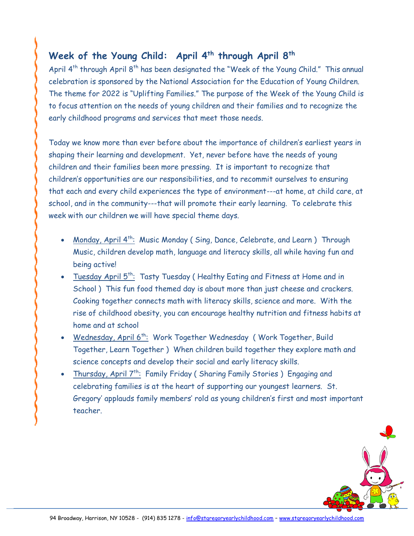# **Week of the Young Child: April 4th through April 8th**

April 4<sup>th</sup> through April 8<sup>th</sup> has been designated the "Week of the Young Child." This annual celebration is sponsored by the National Association for the Education of Young Children. The theme for 2022 is "Uplifting Families." The purpose of the Week of the Young Child is to focus attention on the needs of young children and their families and to recognize the early childhood programs and services that meet those needs.

Today we know more than ever before about the importance of children's earliest years in shaping their learning and development. Yet, never before have the needs of young children and their families been more pressing. It is important to recognize that children's opportunities are our responsibilities, and to recommit ourselves to ensuring that each and every child experiences the type of environment---at home, at child care, at school, and in the community---that will promote their early learning. To celebrate this week with our children we will have special theme days.

- Monday, April 4<sup>th</sup>: Music Monday (Sing, Dance, Celebrate, and Learn) Through Music, children develop math, language and literacy skills, all while having fun and being active!
- Tuesday April 5<sup>th</sup>: Tasty Tuesday (Healthy Eating and Fitness at Home and in School ) This fun food themed day is about more than just cheese and crackers. Cooking together connects math with literacy skills, science and more. With the rise of childhood obesity, you can encourage healthy nutrition and fitness habits at home and at school
- Wednesday, April 6<sup>th</sup>: Work Together Wednesday (Work Together, Build Together, Learn Together ) When children build together they explore math and science concepts and develop their social and early literacy skills.
- Thursday, April 7<sup>th</sup>: Family Friday (Sharing Family Stories) Engaging and celebrating families is at the heart of supporting our youngest learners. St. Gregory' applauds family members' rold as young children's first and most important teacher.